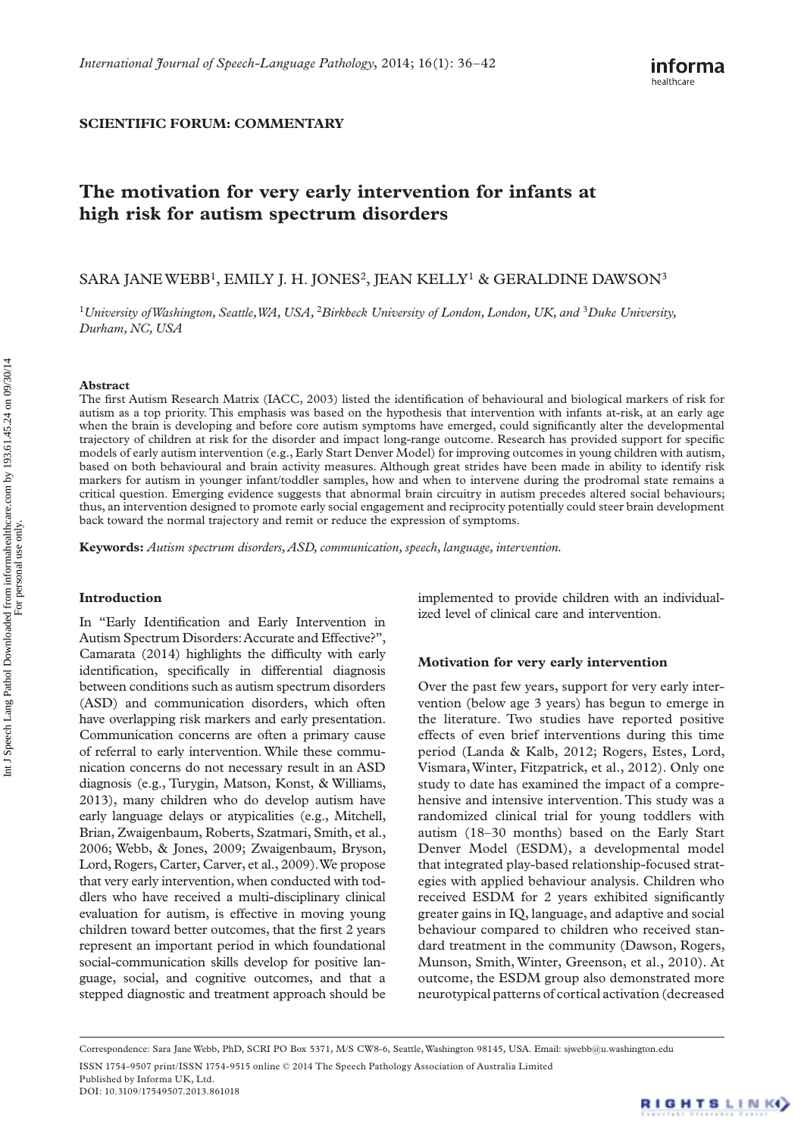## **SCIENTIFIC FORUM: COMMENTARY**

# **The motivation for very early intervention for infants at high risk for autism spectrum disorders**

SARA JANE WEBB<sup>1</sup>, EMILY J. H. JONES<sup>2</sup>, JEAN KELLY<sup>1</sup> & GERALDINE DAWSON<sup>3</sup>

<sup>1</sup>*University of Washington, Seattle, WA, USA,* <sup>2</sup>*Birkbeck University of London, London, UK, and* <sup>3</sup>*Duke University, Durham, NC, USA* 

#### **Abstract**

The first Autism Research Matrix (IACC, 2003) listed the identification of behavioural and biological markers of risk for autism as a top priority. This emphasis was based on the hypothesis that intervention with infants at-risk, at an early age when the brain is developing and before core autism symptoms have emerged, could significantly alter the developmental trajectory of children at risk for the disorder and impact long-range outcome. Research has provided support for specific models of early autism intervention (e.g., Early Start Denver Model) for improving outcomes in young children with autism, based on both behavioural and brain activity measures. Although great strides have been made in ability to identify risk markers for autism in younger infant/toddler samples, how and when to intervene during the prodromal state remains a critical question. Emerging evidence suggests that abnormal brain circuitry in autism precedes altered social behaviours; thus, an intervention designed to promote early social engagement and reciprocity potentially could steer brain development back toward the normal trajectory and remit or reduce the expression of symptoms.

**Keywords:** *Autism spectrum disorders , ASD , communication , speech , language , intervention .* 

## **Introduction**

In "Early Identification and Early Intervention in Autism Spectrum Disorders: Accurate and Effective?", Camarata (2014) highlights the difficulty with early identification, specifically in differential diagnosis between conditions such as autism spectrum disorders (ASD) and communication disorders, which often have overlapping risk markers and early presentation. Communication concerns are often a primary cause of referral to early intervention. While these communication concerns do not necessary result in an ASD diagnosis (e.g., Turygin, Matson, Konst, & Williams, 2013), many children who do develop autism have early language delays or atypicalities (e.g., Mitchell, Brian, Zwaigenbaum, Roberts, Szatmari, Smith, et al., 2006; Webb, & Jones, 2009; Zwaigenbaum, Bryson, Lord, Rogers, Carter, Carver, et al., 2009). We propose that very early intervention, when conducted with toddlers who have received a multi-disciplinary clinical evaluation for autism, is effective in moving young children toward better outcomes, that the first 2 years represent an important period in which foundational social-communication skills develop for positive language, social, and cognitive outcomes, and that a stepped diagnostic and treatment approach should be

implemented to provide children with an individualized level of clinical care and intervention.

### **Motivation for very early intervention**

Over the past few years, support for very early intervention (below age 3 years) has begun to emerge in the literature. Two studies have reported positive effects of even brief interventions during this time period (Landa & Kalb, 2012; Rogers, Estes, Lord, Vismara, Winter, Fitzpatrick, et al., 2012). Only one study to date has examined the impact of a comprehensive and intensive intervention. This study was a randomized clinical trial for young toddlers with autism (18-30 months) based on the Early Start Denver Model (ESDM), a developmental model that integrated play-based relationship-focused strategies with applied behaviour analysis. Children who received ESDM for 2 years exhibited significantly greater gains in IQ, language, and adaptive and social behaviour compared to children who received standard treatment in the community (Dawson, Rogers, Munson, Smith, Winter, Greenson, et al., 2010). At outcome, the ESDM group also demonstrated more neurotypical patterns of cortical activation (decreased



Correspondence: Sara Jane Webb, PhD, SCRI PO Box 5371, M/S CW8-6, Seattle, Washington 98145, USA. Email: sjwebb@u.washington.edu ISSN 1754-9507 print/ISSN 1754-9515 online © 2014 The Speech Pathology Association of Australia Limited Published by Informa UK, Ltd. DOI: 10.3109/17549507.2013.861018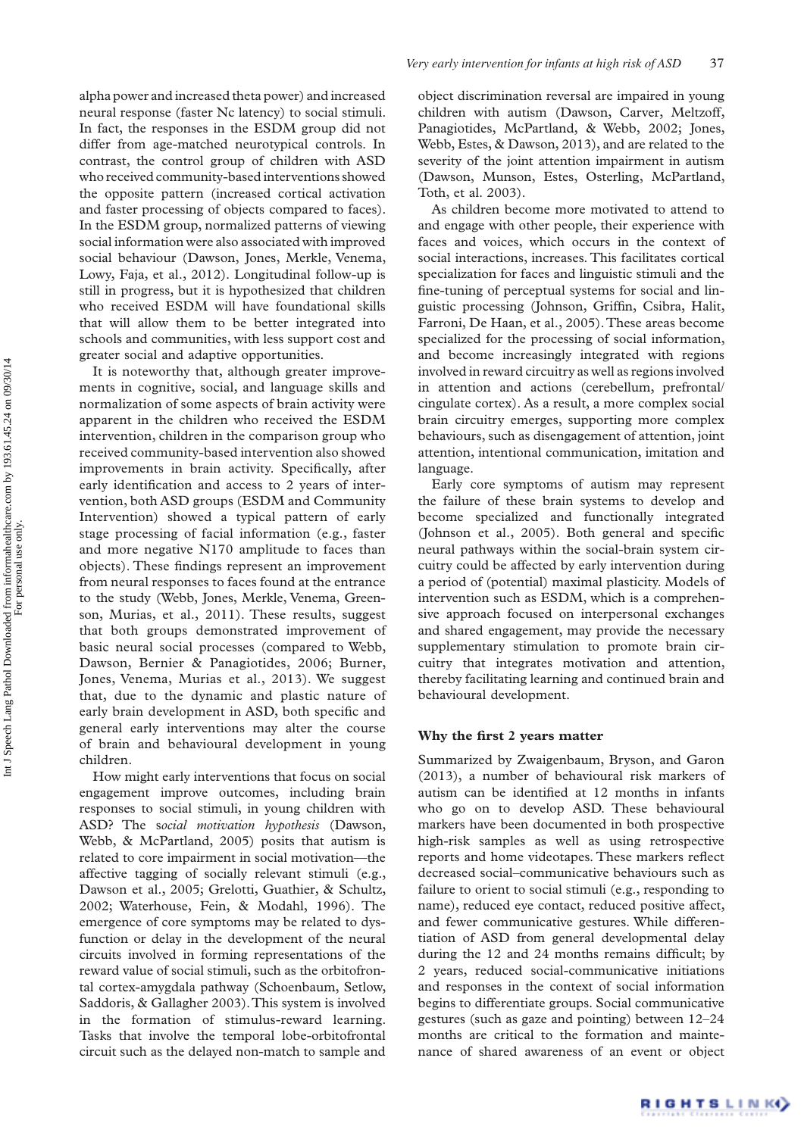alpha power and increased theta power) and increased neural response (faster Nc latency) to social stimuli. In fact, the responses in the ESDM group did not differ from age-matched neurotypical controls. In contrast, the control group of children with ASD who received community-based interventions showed the opposite pattern (increased cortical activation and faster processing of objects compared to faces). In the ESDM group, normalized patterns of viewing social information were also associated with improved social behaviour (Dawson, Jones, Merkle, Venema, Lowy, Faja, et al., 2012). Longitudinal follow-up is still in progress, but it is hypothesized that children who received ESDM will have foundational skills that will allow them to be better integrated into schools and communities, with less support cost and greater social and adaptive opportunities.

It is noteworthy that, although greater improvements in cognitive, social, and language skills and normalization of some aspects of brain activity were apparent in the children who received the ESDM intervention, children in the comparison group who received community-based intervention also showed improvements in brain activity. Specifically, after early identification and access to 2 years of intervention, both ASD groups (ESDM and Community Intervention) showed a typical pattern of early stage processing of facial information (e.g., faster and more negative N170 amplitude to faces than objects). These findings represent an improvement from neural responses to faces found at the entrance to the study (Webb, Jones, Merkle, Venema, Greenson, Murias, et al., 2011). These results, suggest that both groups demonstrated improvement of basic neural social processes (compared to Webb, Dawson, Bernier & Panagiotides, 2006; Burner, Jones, Venema, Murias et al., 2013). We suggest that, due to the dynamic and plastic nature of early brain development in ASD, both specific and general early interventions may alter the course of brain and behavioural development in young children.

How might early interventions that focus on social engagement improve outcomes, including brain responses to social stimuli, in young children with ASD? The social motivation hypothesis (Dawson, Webb, & McPartland, 2005) posits that autism is related to core impairment in social motivation — the affective tagging of socially relevant stimuli (e.g., Dawson et al., 2005; Grelotti, Guathier, & Schultz, 2002; Waterhouse, Fein, & Modahl, 1996). The emergence of core symptoms may be related to dysfunction or delay in the development of the neural circuits involved in forming representations of the reward value of social stimuli, such as the orbitofrontal cortex-amygdala pathway (Schoenbaum, Setlow, Saddoris, & Gallagher 2003). This system is involved in the formation of stimulus-reward learning. Tasks that involve the temporal lobe-orbitofrontal circuit such as the delayed non-match to sample and object discrimination reversal are impaired in young children with autism (Dawson, Carver, Meltzoff, Panagiotides, McPartland, & Webb, 2002; Jones, Webb, Estes, & Dawson, 2013), and are related to the severity of the joint attention impairment in autism (Dawson, Munson, Estes, Osterling, McPartland, Toth, et al. 2003).

As children become more motivated to attend to and engage with other people, their experience with faces and voices, which occurs in the context of social interactions, increases. This facilitates cortical specialization for faces and linguistic stimuli and the fine-tuning of perceptual systems for social and linguistic processing (Johnson, Griffin, Csibra, Halit, Farroni, De Haan, et al., 2005). These areas become specialized for the processing of social information, and become increasingly integrated with regions involved in reward circuitry as well as regions involved in attention and actions (cerebellum, prefrontal/ cingulate cortex). As a result, a more complex social brain circuitry emerges, supporting more complex behaviours, such as disengagement of attention, joint attention, intentional communication, imitation and language.

Early core symptoms of autism may represent the failure of these brain systems to develop and become specialized and functionally integrated (Johnson et al., 2005). Both general and specific neural pathways within the social-brain system circuitry could be affected by early intervention during a period of (potential) maximal plasticity. Models of intervention such as ESDM, which is a comprehensive approach focused on interpersonal exchanges and shared engagement, may provide the necessary supplementary stimulation to promote brain circuitry that integrates motivation and attention, thereby facilitating learning and continued brain and behavioural development.

#### **Why the first 2 years matter**

Summarized by Zwaigenbaum, Bryson, and Garon (2013), a number of behavioural risk markers of autism can be identified at 12 months in infants who go on to develop ASD. These behavioural markers have been documented in both prospective high-risk samples as well as using retrospective reports and home videotapes. These markers reflect decreased social-communicative behaviours such as failure to orient to social stimuli (e.g., responding to name), reduced eye contact, reduced positive affect, and fewer communicative gestures. While differentiation of ASD from general developmental delay during the 12 and 24 months remains difficult; by 2 years, reduced social-communicative initiations and responses in the context of social information begins to differentiate groups. Social communicative gestures (such as gaze and pointing) between  $12-24$ months are critical to the formation and maintenance of shared awareness of an event or object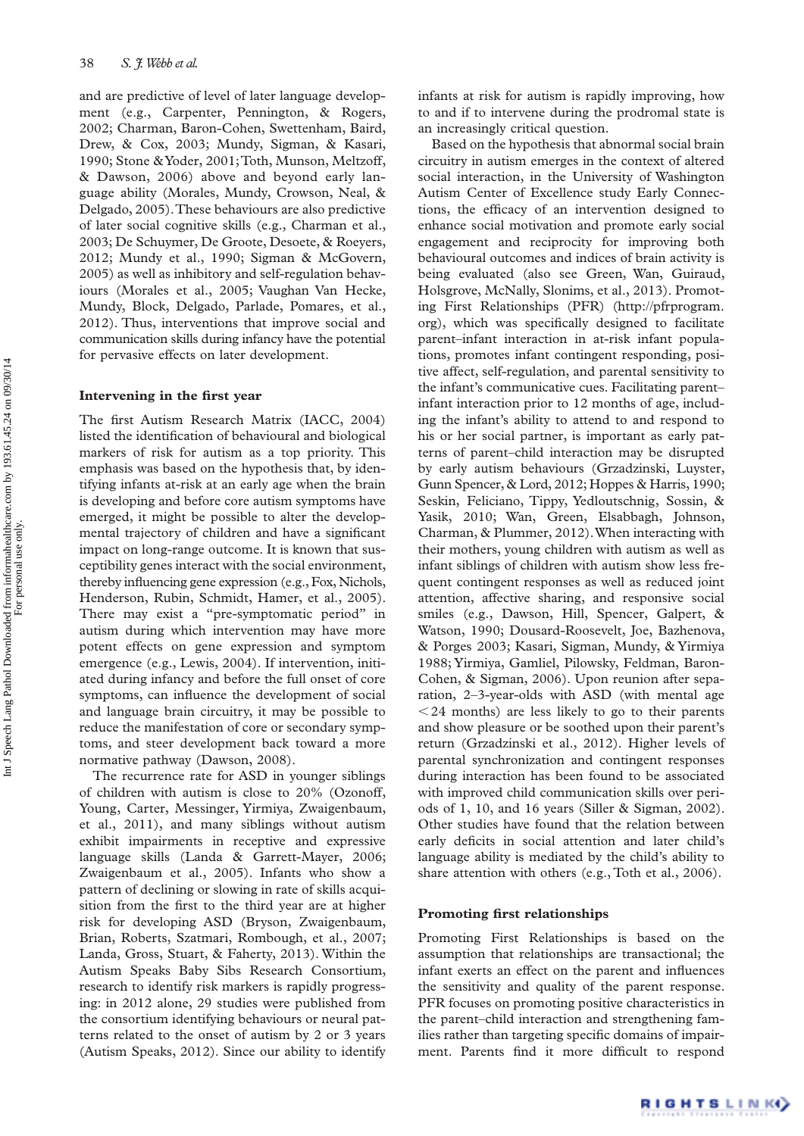and are predictive of level of later language development (e.g., Carpenter, Pennington, & Rogers, 2002; Charman, Baron-Cohen, Swettenham, Baird, Drew, & Cox, 2003; Mundy, Sigman, & Kasari, 1990; Stone &Yoder, 2001; Toth, Munson, Meltzoff, &Dawson, 2006) above and beyond early language ability (Morales, Mundy, Crowson, Neal, & Delgado, 2005). These behaviours are also predictive of later social cognitive skills (e.g., Charman et al., 2003; De Schuymer, De Groote, Desoete, & Roeyers, 2012; Mundy et al., 1990; Sigman & McGovern, 2005) as well as inhibitory and self-regulation behaviours (Morales et al., 2005; Vaughan Van Hecke, Mundy, Block, Delgado, Parlade, Pomares, et al., 2012). Thus, interventions that improve social and communication skills during infancy have the potential for pervasive effects on later development.

### **Intervening in the first year**

The first Autism Research Matrix (IACC, 2004) listed the identification of behavioural and biological markers of risk for autism as a top priority. This emphasis was based on the hypothesis that, by identifying infants at-risk at an early age when the brain is developing and before core autism symptoms have emerged, it might be possible to alter the developmental trajectory of children and have a significant impact on long-range outcome. It is known that susceptibility genes interact with the social environment, thereby influencing gene expression (e.g., Fox, Nichols, Henderson, Rubin, Schmidt, Hamer, et al., 2005). There may exist a "pre-symptomatic period" in autism during which intervention may have more potent effects on gene expression and symptom emergence (e.g., Lewis, 2004). If intervention, initiated during infancy and before the full onset of core symptoms, can influence the development of social and language brain circuitry, it may be possible to reduce the manifestation of core or secondary symptoms, and steer development back toward a more normative pathway (Dawson, 2008).

The recurrence rate for ASD in younger siblings of children with autism is close to 20% (Ozonoff, Young, Carter, Messinger, Yirmiya, Zwaigenbaum, et al., 2011), and many siblings without autism exhibit impairments in receptive and expressive language skills (Landa & Garrett-Mayer, 2006; Zwaigenbaum et al., 2005). Infants who show a pattern of declining or slowing in rate of skills acquisition from the first to the third year are at higher risk for developing ASD (Bryson, Zwaigenbaum, Brian, Roberts, Szatmari, Rombough, et al., 2007; Landa, Gross, Stuart, & Faherty, 2013). Within the Autism Speaks Baby Sibs Research Consortium, research to identify risk markers is rapidly progressing: in 2012 alone, 29 studies were published from the consortium identifying behaviours or neural patterns related to the onset of autism by 2 or 3 years (Autism Speaks, 2012). Since our ability to identify infants at risk for autism is rapidly improving, how to and if to intervene during the prodromal state is an increasingly critical question.

Based on the hypothesis that abnormal social brain circuitry in autism emerges in the context of altered social interaction, in the University of Washington Autism Center of Excellence study Early Connections, the efficacy of an intervention designed to enhance social motivation and promote early social engagement and reciprocity for improving both behavioural outcomes and indices of brain activity is being evaluated (also see Green, Wan, Guiraud, Holsgrove, McNally, Slonims, et al., 2013). Promoting First Relationships (PFR) (http://pfrprogram. org), which was specifically designed to facilitate parent-infant interaction in at-risk infant populations, promotes infant contingent responding, positive affect, self-regulation, and parental sensitivity to the infant's communicative cues. Facilitating parentinfant interaction prior to 12 months of age, including the infant's ability to attend to and respond to his or her social partner, is important as early patterns of parent – child interaction may be disrupted by early autism behaviours (Grzadzinski, Luyster, Gunn Spencer, & Lord, 2012; Hoppes & Harris, 1990; Seskin, Feliciano, Tippy, Yedloutschnig, Sossin, & Yasik, 2010; Wan, Green, Elsabbagh, Johnson, Charman,  $&$  Plummer, 2012). When interacting with their mothers, young children with autism as well as infant siblings of children with autism show less frequent contingent responses as well as reduced joint attention, affective sharing, and responsive social smiles (e.g., Dawson, Hill, Spencer, Galpert, & Watson, 1990; Dousard-Roosevelt, Joe, Bazhenova, & Porges 2003; Kasari, Sigman, Mundy, & Yirmiya 1988; Yirmiya, Gamliel, Pilowsky, Feldman, Baron-Cohen, & Sigman, 2006). Upon reunion after separation,  $2-3$ -year-olds with ASD (with mental age  $<$  24 months) are less likely to go to their parents and show pleasure or be soothed upon their parent's return (Grzadzinski et al., 2012). Higher levels of parental synchronization and contingent responses during interaction has been found to be associated with improved child communication skills over periods of 1, 10, and 16 years (Siller  $&$  Sigman, 2002). Other studies have found that the relation between early deficits in social attention and later child's language ability is mediated by the child's ability to share attention with others (e.g., Toth et al., 2006).

#### **Promoting first relationships**

Promoting First Relationships is based on the assumption that relationships are transactional; the infant exerts an effect on the parent and influences the sensitivity and quality of the parent response. PFR focuses on promoting positive characteristics in the parent-child interaction and strengthening families rather than targeting specific domains of impairment. Parents find it more difficult to respond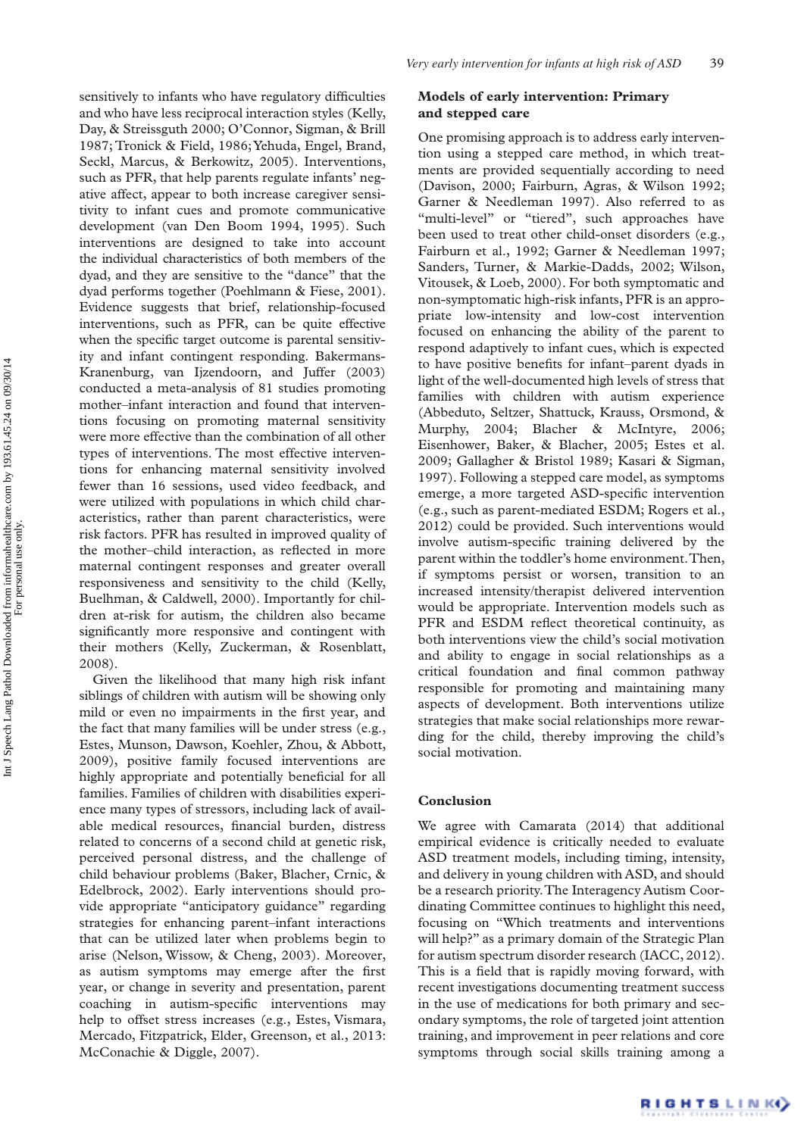sensitively to infants who have regulatory difficulties and who have less reciprocal interaction styles (Kelly, Day, & Streissguth 2000; O'Connor, Sigman, & Brill 1987; Tronick & Field, 1986; Yehuda, Engel, Brand, Seckl, Marcus, & Berkowitz, 2005). Interventions, such as PFR, that help parents regulate infants' negative affect, appear to both increase caregiver sensitivity to infant cues and promote communicative development (van Den Boom 1994, 1995). Such interventions are designed to take into account the individual characteristics of both members of the dyad, and they are sensitive to the "dance" that the dyad performs together (Poehlmann & Fiese, 2001). Evidence suggests that brief, relationship-focused interventions, such as PFR, can be quite effective when the specific target outcome is parental sensitivity and infant contingent responding. Bakermans-Kranenburg, van Ijzendoorn, and Juffer (2003) conducted a meta-analysis of 81 studies promoting mother-infant interaction and found that interventions focusing on promoting maternal sensitivity were more effective than the combination of all other types of interventions. The most effective interventions for enhancing maternal sensitivity involved fewer than 16 sessions, used video feedback, and were utilized with populations in which child characteristics, rather than parent characteristics, were risk factors. PFR has resulted in improved quality of the mother-child interaction, as reflected in more maternal contingent responses and greater overall responsiveness and sensitivity to the child (Kelly, Buelhman, & Caldwell, 2000). Importantly for children at-risk for autism, the children also became significantly more responsive and contingent with their mothers (Kelly, Zuckerman, & Rosenblatt, 2008).

Given the likelihood that many high risk infant siblings of children with autism will be showing only mild or even no impairments in the first year, and the fact that many families will be under stress (e.g., Estes, Munson, Dawson, Koehler, Zhou, & Abbott, 2009), positive family focused interventions are highly appropriate and potentially beneficial for all families. Families of children with disabilities experience many types of stressors, including lack of available medical resources, financial burden, distress related to concerns of a second child at genetic risk, perceived personal distress, and the challenge of child behaviour problems (Baker, Blacher, Crnic, & Edelbrock, 2002). Early interventions should provide appropriate "anticipatory guidance" regarding strategies for enhancing parent-infant interactions that can be utilized later when problems begin to arise (Nelson, Wissow, & Cheng, 2003). Moreover, as autism symptoms may emerge after the first year, or change in severity and presentation, parent coaching in autism-specific interventions may help to offset stress increases (e.g., Estes, Vismara, Mercado, Fitzpatrick, Elder, Greenson, et al., 2013: McConachie & Diggle, 2007).

## **Models of early intervention: Primary and stepped care**

One promising approach is to address early intervention using a stepped care method, in which treatments are provided sequentially according to need (Davison, 2000; Fairburn, Agras, & Wilson 1992; Garner & Needleman 1997). Also referred to as "multi-level" or "tiered", such approaches have been used to treat other child-onset disorders (e.g., Fairburn et al., 1992; Garner & Needleman 1997; Sanders, Turner, & Markie-Dadds, 2002; Wilson, Vitousek, &Loeb, 2000). For both symptomatic and non-symptomatic high-risk infants, PFR is an appropriate low-intensity and low-cost intervention focused on enhancing the ability of the parent to respond adaptively to infant cues, which is expected to have positive benefits for infant-parent dyads in light of the well-documented high levels of stress that families with children with autism experience (Abbeduto, Seltzer, Shattuck, Krauss, Orsmond, & Murphy, 2004; Blacher & McIntyre, 2006; Eisenhower, Baker, & Blacher, 2005; Estes et al. 2009; Gallagher & Bristol 1989; Kasari & Sigman, 1997). Following a stepped care model, as symptoms emerge, a more targeted ASD-specific intervention (e.g., such as parent-mediated ESDM; Rogers et al., 2012) could be provided. Such interventions would involve autism-specific training delivered by the parent within the toddler's home environment. Then, if symptoms persist or worsen, transition to an increased intensity/therapist delivered intervention would be appropriate. Intervention models such as PFR and ESDM reflect theoretical continuity, as both interventions view the child's social motivation and ability to engage in social relationships as a critical foundation and final common pathway responsible for promoting and maintaining many aspects of development. Both interventions utilize strategies that make social relationships more rewarding for the child, thereby improving the child's social motivation.

## **Conclusion**

We agree with Camarata (2014) that additional empirical evidence is critically needed to evaluate ASD treatment models, including timing, intensity, and delivery in young children with ASD, and should be a research priority. The Interagency Autism Coordinating Committee continues to highlight this need, focusing on "Which treatments and interventions will help?" as a primary domain of the Strategic Plan for autism spectrum disorder research (IACC, 2012). This is a field that is rapidly moving forward, with recent investigations documenting treatment success in the use of medications for both primary and secondary symptoms, the role of targeted joint attention training, and improvement in peer relations and core symptoms through social skills training among a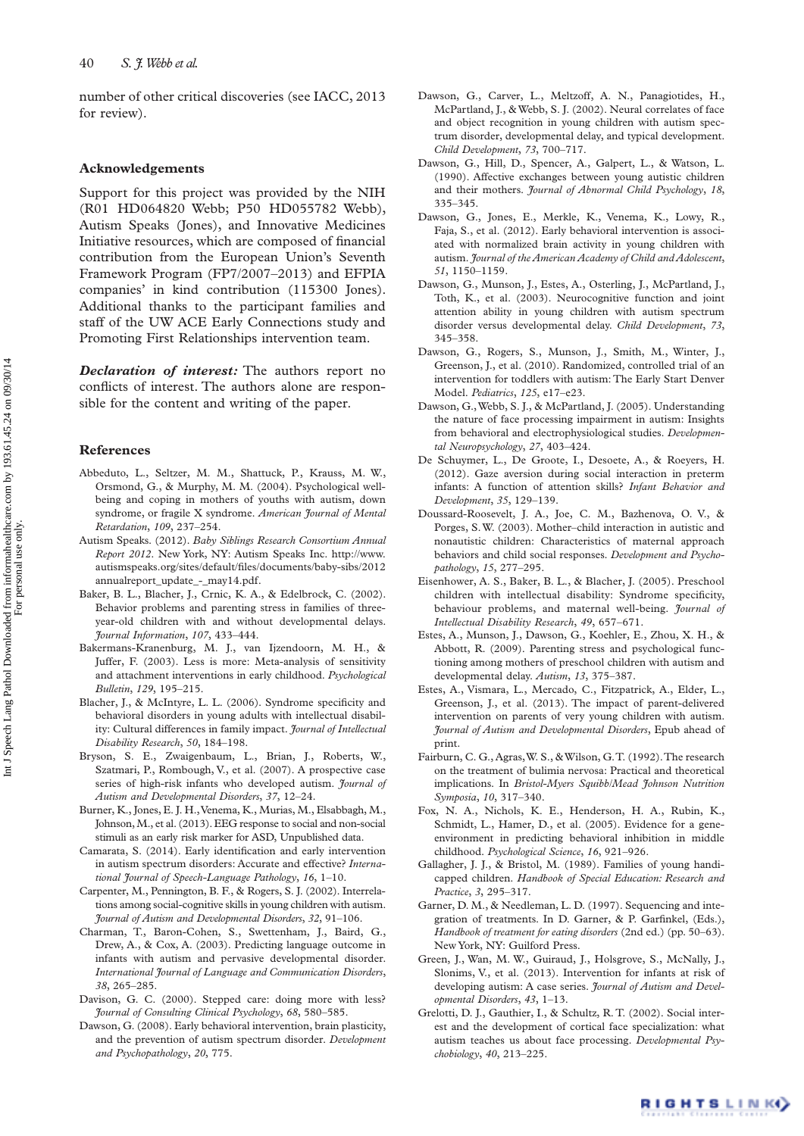number of other critical discoveries (see IACC, 2013 for review).

### **Acknowledgements**

Support for this project was provided by the NIH (R01 HD064820 Webb; P50 HD055782 Webb), Autism Speaks (Jones), and Innovative Medicines Initiative resources, which are composed of financial contribution from the European Union's Seventh Framework Program (FP7/2007-2013) and EFPIA companies' in kind contribution (115300 Jones). Additional thanks to the participant families and staff of the UW ACE Early Connections study and Promoting First Relationships intervention team.

*Declaration of interest:* The authors report no conflicts of interest. The authors alone are responsible for the content and writing of the paper.

## **References**

- Abbeduto, L., Seltzer, M. M., Shattuck, P., Krauss, M. W., Orsmond, G., & Murphy, M. M. (2004). Psychological wellbeing and coping in mothers of youths with autism, down syndrome, or fragile X syndrome . *American Journal of Mental Retardation*, *109*, 237 – 254 .
- Autism Speaks . (2012) . *Baby Siblings Research Consortium Annual Report 2012*. New York, NY: Autism Speaks Inc. http://www. autismspeaks.org/sites/default/files/documents/baby-sibs/2012 annualreport\_update\_-\_may14.pdf.
- Baker, B. L., Blacher, J., Crnic, K. A., & Edelbrock, C. (2002). Behavior problems and parenting stress in families of threeyear-old children with and without developmental delays. *Journal Information*, *107*, 433 – 444 .
- Bakermans-Kranenburg, M. J., van Ijzendoorn, M. H., & Juffer, F. (2003). Less is more: Meta-analysis of sensitivity and attachment interventions in early childhood. *Psychological Bulletin*, 129, 195-215.
- Blacher, J., & McIntyre, L. L. (2006). Syndrome specificity and behavioral disorders in young adults with intellectual disability: Cultural differences in family impact . *Journal of Intellectual Disability Research*, 50, 184-198.
- Bryson, S. E., Zwaigenbaum, L., Brian, J., Roberts, W., Szatmari, P., Rombough, V., et al. (2007). A prospective case series of high-risk infants who developed autism. *Journal of* Autism and Developmental Disorders, 37, 12-24.
- Burner, K., Jones, E. J. H., Venema, K., Murias, M., Elsabbagh, M., Johnson, M., et al. (2013). EEG response to social and non-social stimuli as an early risk marker for ASD, Unpublished data.
- Camarata, S. (2014). Early identification and early intervention in autism spectrum disorders: Accurate and effective? *International Journal of Speech-Language Pathology*, 16, 1-10.
- Carpenter, M., Pennington, B. F., & Rogers, S. J. (2002). Interrelations among social-cognitive skills in young children with autism . *Journal of Autism and Developmental Disorders*, *32*, 91 – 106 .
- Charman, T., Baron-Cohen, S., Swettenham, J., Baird, G., Drew, A., & Cox, A. (2003). Predicting language outcome in infants with autism and pervasive developmental disorder. *International Journal of Language and Communication Disorders*, 38, 265-285.
- Davison, G. C. (2000). Stepped care: doing more with less? *Journal of Consulting Clinical Psychology*, *68*, 580 – 585 .
- Dawson, G. (2008). Early behavioral intervention, brain plasticity, and the prevention of autism spectrum disorder . *Development and Psychopathology*, *20*, 775 .
- Dawson, G., Carver, L., Meltzoff, A. N., Panagiotides, H., McPartland, J., & Webb, S. J. (2002). Neural correlates of face and object recognition in young children with autism spectrum disorder, developmental delay, and typical development. *Child Development*, 73, 700-717.
- Dawson, G., Hill, D., Spencer, A., Galpert, L., & Watson, L. (1990). Affective exchanges between young autistic children and their mothers . *Journal of Abnormal Child Psychology*, *18*, 335 – 345 .
- Dawson, G., Jones, E., Merkle, K., Venema, K., Lowy, R., Faja, S., et al. (2012). Early behavioral intervention is associated with normalized brain activity in young children with autism . *Journal of the American Academy of Child and Adolescent*, 51, 1150-1159.
- Dawson, G., Munson, J., Estes, A., Osterling, J., McPartland, J., Toth, K., et al. (2003). Neurocognitive function and joint attention ability in young children with autism spectrum disorder versus developmental delay. *Child Development*, 73,  $345 - 358$
- Dawson, G., Rogers, S., Munson, J., Smith, M., Winter, J., Greenson, J., et al. (2010). Randomized, controlled trial of an intervention for toddlers with autism: The Early Start Denver Model. Pediatrics, 125, e17-e23.
- Dawson, G., Webb, S. J., & McPartland, J. (2005). Understanding the nature of face processing impairment in autism: Insights from behavioral and electrophysiological studies . *Developmental Neuropsychology*, *27*, 403 – 424 .
- De Schuymer, L., De Groote, I., Desoete, A., & Roeyers, H. (2012) . Gaze aversion during social interaction in preterm infants: A function of attention skills? *Infant Behavior and Development*, *35*, 129 – 139 .
- Doussard-Roosevelt, J. A., Joe, C. M., Bazhenova, O. V., & Porges, S. W. (2003). Mother-child interaction in autistic and nonautistic children: Characteristics of maternal approach behaviors and child social responses . *Development and Psychopathology*, *15*, 277 – 295 .
- Eisenhower, A. S., Baker, B. L., & Blacher, J. (2005). Preschool children with intellectual disability: Syndrome specificity, behaviour problems, and maternal well-being. *Journal of* Intellectual Disability Research, 49, 657-671.
- Estes, A., Munson, J., Dawson, G., Koehler, E., Zhou, X. H., & Abbott, R. (2009). Parenting stress and psychological functioning among mothers of preschool children with autism and developmental delay. Autism, 13, 375-387.
- Estes, A., Vismara, L., Mercado, C., Fitzpatrick, A., Elder, L., Greenson, J., et al. (2013). The impact of parent-delivered intervention on parents of very young children with autism. *Journal of Autism and Developmental Disorders*, Epub ahead of print.
- Fairburn, C. G., Agras, W. S., & Wilson, G. T. (1992). The research on the treatment of bulimia nervosa: Practical and theoretical implications . In *Bristol-Myers Squibb/Mead Johnson Nutrition Symposia*, *10*, 317 – 340 .
- Fox, N. A., Nichols, K. E., Henderson, H. A., Rubin, K., Schmidt, L., Hamer, D., et al. (2005). Evidence for a geneenvironment in predicting behavioral inhibition in middle childhood. Psychological Science, 16, 921-926.
- Gallagher, J. J., & Bristol, M. (1989). Families of young handicapped children. *Handbook of Special Education: Research and Practice*, *3*, 295 – 317 .
- Garner, D. M., & Needleman, L. D. (1997). Sequencing and integration of treatments. In D. Garner, & P. Garfinkel, (Eds.), Handbook of treatment for eating disorders (2nd ed.) (pp. 50-63). New York, NY: Guilford Press .
- Green, J., Wan, M. W., Guiraud, J., Holsgrove, S., McNally, J., Slonims, V., et al. (2013). Intervention for infants at risk of developing autism: A case series . *Journal of Autism and Developmental Disorders*, 43, 1-13.
- Grelotti, D. J., Gauthier, I., & Schultz, R. T. (2002). Social interest and the development of cortical face specialization: what autism teaches us about face processing. *Developmental Psychobiology*, *40*, 213 – 225 .

RIGHTS LINKO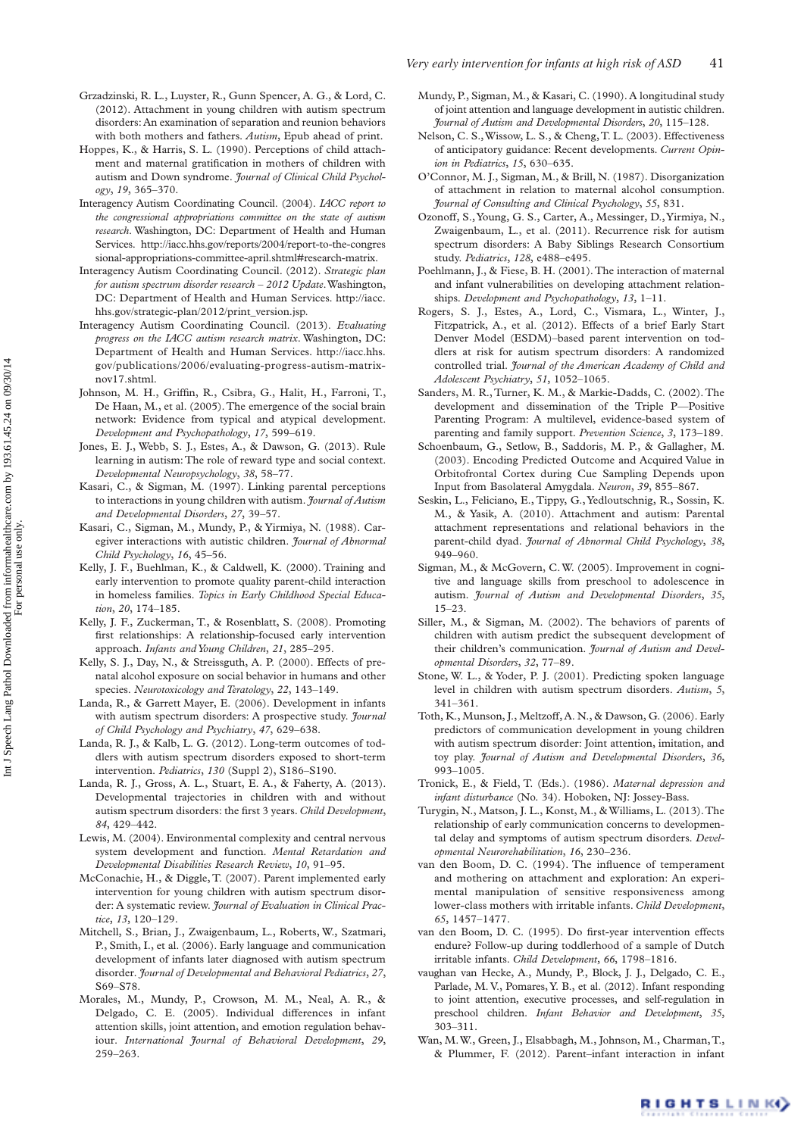- Grzadzinski, R. L., Luyster, R., Gunn Spencer, A. G., & Lord, C. (2012) . Attachment in young children with autism spectrum disorders: An examination of separation and reunion behaviors with both mothers and fathers. Autism, Epub ahead of print.
- Hoppes, K., & Harris, S. L. (1990). Perceptions of child attachment and maternal gratification in mothers of children with autism and Down syndrome . *Journal of Clinical Child Psychology*, *19*, 365 – 370 .
- Interagency Autism Coordinating Council . (2004) . *IACC report to the congressional appropriations committee on the state of autism research*. Washington, DC: Department of Health and Human Services . http://iacc.hhs.gov/reports/2004/report-to-the-congres sional-appropriations-committee-april.shtml#research-matrix.
- Interagency Autism Coordinating Council . (2012) . *Strategic plan for autism spectrum disorder research –2012 Update*. Washington, DC: Department of Health and Human Services . http://iacc. hhs.gov/strategic-plan/2012/print\_version.jsp.
- Interagency Autism Coordinating Council . (2013) . *Evaluating progress on the IACC autism research matrix*. Washington, DC: Department of Health and Human Services . http://iacc.hhs. gov/publications/2006/evaluating-progress-autism-matrixnov17.shtml.
- Johnson, M. H., Griffin, R., Csibra, G., Halit, H., Farroni, T., De Haan, M., et al. (2005). The emergence of the social brain network: Evidence from typical and atypical development. Development and Psychopathology, 17, 599-619.
- Jones, E. J., Webb, S. J., Estes, A., & Dawson, G. (2013). Rule learning in autism: The role of reward type and social context. *Developmental Neuropsychology*, *38*, 58 – 77 .
- Kasari, C., & Sigman, M. (1997). Linking parental perceptions to interactions in young children with autism . *Journal of Autism*  and Developmental Disorders, 27, 39-57.
- Kasari, C., Sigman, M., Mundy, P., & Yirmiya, N. (1988). Caregiver interactions with autistic children. *Journal of Abnormal Child Psychology*, 16, 45-56.
- Kelly, J. F., Buehlman, K., & Caldwell, K. (2000). Training and early intervention to promote quality parent-child interaction in homeless families. Topics in Early Childhood Special Education, 20, 174-185.
- Kelly, J. F., Zuckerman, T., & Rosenblatt, S. (2008). Promoting first relationships: A relationship-focused early intervention approach. Infants and Young Children, 21, 285-295.
- Kelly, S. J., Day, N., & Streissguth, A. P. (2000). Effects of prenatal alcohol exposure on social behavior in humans and other species. *Neurotoxicology and Teratology*, 22, 143-149.
- Landa, R., & Garrett Mayer, E. (2006). Development in infants with autism spectrum disorders: A prospective study . *Journal*  of Child Psychology and Psychiatry, 47, 629-638.
- Landa, R. J., & Kalb, L. G. (2012). Long-term outcomes of toddlers with autism spectrum disorders exposed to short-term intervention. *Pediatrics*, 130 (Suppl 2), S186-S190.
- Landa, R. J., Gross, A. L., Stuart, E. A., & Faherty, A. (2013). Developmental trajectories in children with and without autism spectrum disorders: the first 3 years. *Child Development*, *84*, 429 – 442 .
- Lewis, M. (2004). Environmental complexity and central nervous system development and function . *Mental Retardation and Developmental Disabilities Research Review, 10, 91-95.*
- McConachie, H., & Diggle, T. (2007). Parent implemented early intervention for young children with autism spectrum disorder: A systematic review . *Journal of Evaluation in Clinical Prac*tice, 13, 120-129.
- Mitchell, S., Brian, J., Zwaigenbaum, L., Roberts, W., Szatmari, P., Smith, I., et al. (2006). Early language and communication development of infants later diagnosed with autism spectrum disorder . *Journal of Developmental and Behavioral Pediatrics*, *27*, S69-S78.
- Morales, M., Mundy, P., Crowson, M. M., Neal, A. R., & Delgado, C. E. (2005). Individual differences in infant attention skills, joint attention, and emotion regulation behaviour. International Journal of Behavioral Development, 29,  $259 - 263$
- Mundy, P., Sigman, M., & Kasari, C. (1990). A longitudinal study of joint attention and language development in autistic children. *Journal of Autism and Developmental Disorders*, *20*, 115 – 128 .
- Nelson, C. S., Wissow, L. S., & Cheng, T. L. (2003). Effectiveness of anticipatory guidance: Recent developments . *Current Opinion in Pediatrics*, 15, 630-635.
- O'Connor, M. J., Sigman, M., & Brill, N. (1987). Disorganization of attachment in relation to maternal alcohol consumption . *Journal of Consulting and Clinical Psychology*, *55*, 831 .
- Ozonoff, S., Young, G. S., Carter, A., Messinger, D., Yirmiya, N., Zwaigenbaum, L., et al. (2011). Recurrence risk for autism spectrum disorders: A Baby Siblings Research Consortium study. Pediatrics, 128, e488-e495.
- Poehlmann, J., & Fiese, B. H. (2001). The interaction of maternal and infant vulnerabilities on developing attachment relationships. *Development and Psychopathology*, 13, 1-11.
- Rogers, S. J., Estes, A., Lord, C., Vismara, L., Winter, J., Fitzpatrick, A., et al. (2012). Effects of a brief Early Start Denver Model (ESDM)-based parent intervention on toddlers at risk for autism spectrum disorders: A randomized controlled trial. *Journal of the American Academy of Child and Adolescent Psychiatry*, 51, 1052-1065.
- Sanders, M. R., Turner, K. M., & Markie-Dadds, C. (2002). The development and dissemination of the Triple P-Positive Parenting Program: A multilevel, evidence-based system of parenting and family support. *Prevention Science*, 3, 173-189.
- Schoenbaum, G., Setlow, B., Saddoris, M. P., & Gallagher, M. (2003) . Encoding Predicted Outcome and Acquired Value in Orbitofrontal Cortex during Cue Sampling Depends upon Input from Basolateral Amygdala . *Neuron*, *39*, 855 – 867 .
- Seskin, L., Feliciano, E., Tippy, G., Yedloutschnig, R., Sossin, K. M., & Yasik, A. (2010). Attachment and autism: Parental attachment representations and relational behaviors in the parent-child dyad. *Journal of Abnormal Child Psychology*, 38,  $949 - 960.$
- Sigman, M., & McGovern, C. W. (2005). Improvement in cognitive and language skills from preschool to adolescence in autism . *Journal of Autism and Developmental Disorders*, *35*,  $15 - 23.$
- Siller, M., & Sigman, M. (2002). The behaviors of parents of children with autism predict the subsequent development of their children's communication . *Journal of Autism and Developmental Disorders*, *32*, 77 – 89 .
- Stone, W. L., & Yoder, P. J. (2001). Predicting spoken language level in children with autism spectrum disorders . *Autism*, *5*, 341-361.
- Toth, K., Munson, J., Meltzoff, A. N., & Dawson, G. (2006). Early predictors of communication development in young children with autism spectrum disorder: Joint attention, imitation, and toy play . *Journal of Autism and Developmental Disorders*, *36*,  $993 - 1005$
- Tronick, E., & Field, T. (Eds.). (1986). *Maternal depression and infant disturbance* (No. 34) . Hoboken, NJ: Jossey-Bass .
- Turygin, N., Matson, J. L., Konst, M., & Williams, L. (2013). The relationship of early communication concerns to developmental delay and symptoms of autism spectrum disorders. Devel*opmental Neurorehabilitation*, *16*, 230 – 236 .
- van den Boom, D. C. (1994). The influence of temperament and mothering on attachment and exploration: An experimental manipulation of sensitive responsiveness among lower-class mothers with irritable infants . *Child Development*, *65*, 1457 – 1477 .
- van den Boom, D. C. (1995). Do first-year intervention effects endure? Follow-up during toddlerhood of a sample of Dutch irritable infants. *Child Development*, 66, 1798-1816.
- vaughan van Hecke, A., Mundy, P., Block, J. J., Delgado, C. E., Parlade, M. V., Pomares, Y. B., et al. (2012). Infant responding to joint attention, executive processes, and self-regulation in preschool children. *Infant Behavior and Development*, 35,  $303 - 311.$
- Wan, M.W., Green, J., Elsabbagh, M., Johnson, M., Charman, T., & Plummer, F. (2012). Parent-infant interaction in infant

RIGHTS LINKO